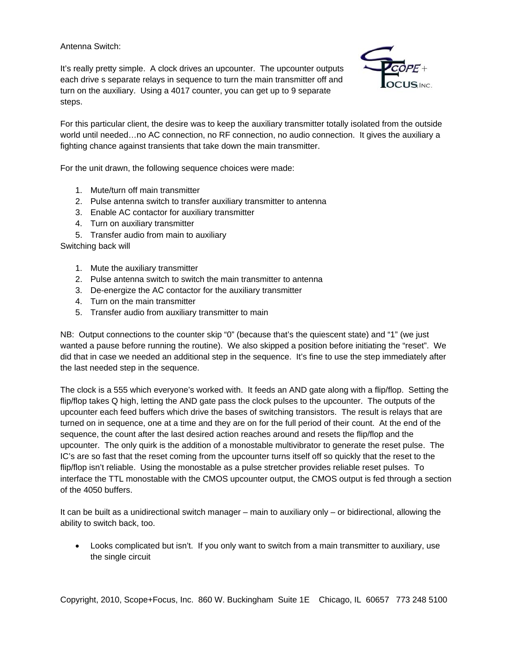Antenna Switch:

It's really pretty simple. A clock drives an upcounter. The upcounter outputs each drive s separate relays in sequence to turn the main transmitter off and turn on the auxiliary. Using a 4017 counter, you can get up to 9 separate steps.



For this particular client, the desire was to keep the auxiliary transmitter totally isolated from the outside world until needed…no AC connection, no RF connection, no audio connection. It gives the auxiliary a fighting chance against transients that take down the main transmitter.

For the unit drawn, the following sequence choices were made:

- 1. Mute/turn off main transmitter
- 2. Pulse antenna switch to transfer auxiliary transmitter to antenna
- 3. Enable AC contactor for auxiliary transmitter
- 4. Turn on auxiliary transmitter
- 5. Transfer audio from main to auxiliary

Switching back will

- 1. Mute the auxiliary transmitter
- 2. Pulse antenna switch to switch the main transmitter to antenna
- 3. De-energize the AC contactor for the auxiliary transmitter
- 4. Turn on the main transmitter
- 5. Transfer audio from auxiliary transmitter to main

NB: Output connections to the counter skip "0" (because that's the quiescent state) and "1" (we just wanted a pause before running the routine). We also skipped a position before initiating the "reset". We did that in case we needed an additional step in the sequence. It's fine to use the step immediately after the last needed step in the sequence.

The clock is a 555 which everyone's worked with. It feeds an AND gate along with a flip/flop. Setting the flip/flop takes Q high, letting the AND gate pass the clock pulses to the upcounter. The outputs of the upcounter each feed buffers which drive the bases of switching transistors. The result is relays that are turned on in sequence, one at a time and they are on for the full period of their count. At the end of the sequence, the count after the last desired action reaches around and resets the flip/flop and the upcounter. The only quirk is the addition of a monostable multivibrator to generate the reset pulse. The IC's are so fast that the reset coming from the upcounter turns itself off so quickly that the reset to the flip/flop isn't reliable. Using the monostable as a pulse stretcher provides reliable reset pulses. To interface the TTL monostable with the CMOS upcounter output, the CMOS output is fed through a section of the 4050 buffers.

It can be built as a unidirectional switch manager – main to auxiliary only – or bidirectional, allowing the ability to switch back, too.

 Looks complicated but isn't. If you only want to switch from a main transmitter to auxiliary, use the single circuit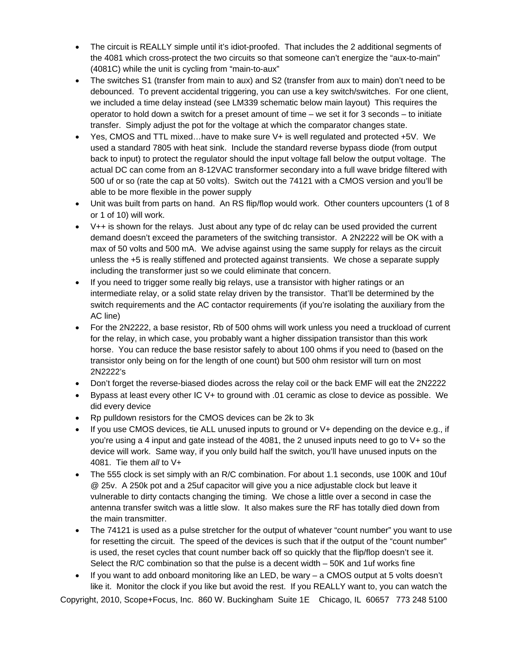- The circuit is REALLY simple until it's idiot-proofed. That includes the 2 additional segments of the 4081 which cross-protect the two circuits so that someone can't energize the "aux-to-main" (4081C) while the unit is cycling from "main-to-aux"
- The switches S1 (transfer from main to aux) and S2 (transfer from aux to main) don't need to be debounced. To prevent accidental triggering, you can use a key switch/switches. For one client, we included a time delay instead (see LM339 schematic below main layout) This requires the operator to hold down a switch for a preset amount of time – we set it for 3 seconds – to initiate transfer. Simply adjust the pot for the voltage at which the comparator changes state.
- Yes, CMOS and TTL mixed…have to make sure V+ is well regulated and protected +5V. We used a standard 7805 with heat sink. Include the standard reverse bypass diode (from output back to input) to protect the regulator should the input voltage fall below the output voltage. The actual DC can come from an 8-12VAC transformer secondary into a full wave bridge filtered with 500 uf or so (rate the cap at 50 volts). Switch out the 74121 with a CMOS version and you'll be able to be more flexible in the power supply
- Unit was built from parts on hand. An RS flip/flop would work. Other counters upcounters (1 of 8 or 1 of 10) will work.
- $\bullet$  V++ is shown for the relays. Just about any type of dc relay can be used provided the current demand doesn't exceed the parameters of the switching transistor. A 2N2222 will be OK with a max of 50 volts and 500 mA. We advise against using the same supply for relays as the circuit unless the +5 is really stiffened and protected against transients. We chose a separate supply including the transformer just so we could eliminate that concern.
- If you need to trigger some really big relays, use a transistor with higher ratings or an intermediate relay, or a solid state relay driven by the transistor. That'll be determined by the switch requirements and the AC contactor requirements (if you're isolating the auxiliary from the AC line)
- For the 2N2222, a base resistor, Rb of 500 ohms will work unless you need a truckload of current for the relay, in which case, you probably want a higher dissipation transistor than this work horse. You can reduce the base resistor safely to about 100 ohms if you need to (based on the transistor only being on for the length of one count) but 500 ohm resistor will turn on most 2N2222's
- Don't forget the reverse-biased diodes across the relay coil or the back EMF will eat the 2N2222
- Bypass at least every other IC V+ to ground with .01 ceramic as close to device as possible. We did every device
- Rp pulldown resistors for the CMOS devices can be 2k to 3k
- If you use CMOS devices, tie ALL unused inputs to ground or V+ depending on the device e.g., if you're using a 4 input and gate instead of the 4081, the 2 unused inputs need to go to V+ so the device will work. Same way, if you only build half the switch, you'll have unused inputs on the 4081. Tie them *all* to V+
- The 555 clock is set simply with an R/C combination. For about 1.1 seconds, use 100K and 10uf @ 25v. A 250k pot and a 25uf capacitor will give you a nice adjustable clock but leave it vulnerable to dirty contacts changing the timing. We chose a little over a second in case the antenna transfer switch was a little slow. It also makes sure the RF has totally died down from the main transmitter.
- The 74121 is used as a pulse stretcher for the output of whatever "count number" you want to use for resetting the circuit. The speed of the devices is such that if the output of the "count number" is used, the reset cycles that count number back off so quickly that the flip/flop doesn't see it. Select the R/C combination so that the pulse is a decent width  $-50K$  and 1 uf works fine
- If you want to add onboard monitoring like an LED, be wary a CMOS output at 5 volts doesn't like it. Monitor the clock if you like but avoid the rest. If you REALLY want to, you can watch the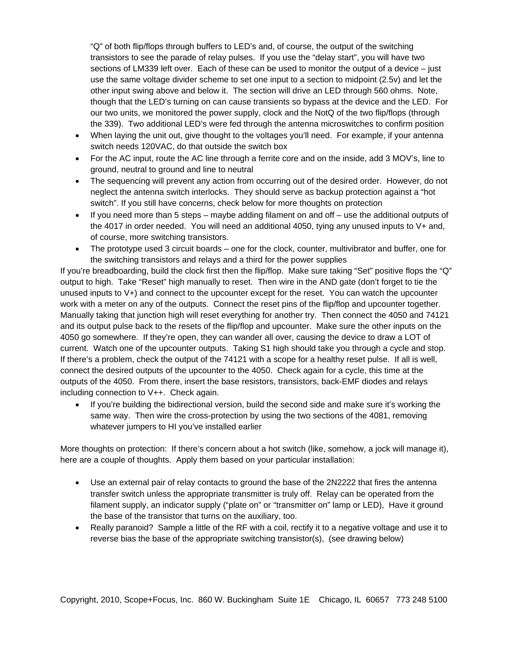"Q" of both flip/flops through buffers to LED's and, of course, the output of the switching transistors to see the parade of relay pulses. If you use the "delay start", you will have two sections of LM339 left over. Each of these can be used to monitor the output of a device – just use the same voltage divider scheme to set one input to a section to midpoint (2.5v) and let the other input swing above and below it. The section will drive an LED through 560 ohms. Note, though that the LED's turning on can cause transients so bypass at the device and the LED. For our two units, we monitored the power supply, clock and the NotQ of the two flip/flops (through the 339). Two additional LED's were fed through the antenna microswitches to confirm position

- When laying the unit out, give thought to the voltages you'll need. For example, if your antenna switch needs 120VAC, do that outside the switch box
- For the AC input, route the AC line through a ferrite core and on the inside, add 3 MOV's, line to ground, neutral to ground and line to neutral
- The sequencing will prevent any action from occurring out of the desired order. However, do not neglect the antenna switch interlocks. They should serve as backup protection against a "hot switch". If you still have concerns, check below for more thoughts on protection
- If you need more than 5 steps maybe adding filament on and off use the additional outputs of the 4017 in order needed. You will need an additional 4050, tying any unused inputs to V+ and, of course, more switching transistors.
- The prototype used 3 circuit boards one for the clock, counter, multivibrator and buffer, one for the switching transistors and relays and a third for the power supplies

If you're breadboarding, build the clock first then the flip/flop. Make sure taking "Set" positive flops the "Q" output to high. Take "Reset" high manually to reset. Then wire in the AND gate (don't forget to tie the unused inputs to V+) and connect to the upcounter except for the reset. You can watch the upcounter work with a meter on any of the outputs. Connect the reset pins of the flip/flop and upcounter together. Manually taking that junction high will reset everything for another try. Then connect the 4050 and 74121 and its output pulse back to the resets of the flip/flop and upcounter. Make sure the other inputs on the 4050 go somewhere. If they're open, they can wander all over, causing the device to draw a LOT of current. Watch one of the upcounter outputs. Taking S1 high should take you through a cycle and stop. If there's a problem, check the output of the 74121 with a scope for a healthy reset pulse. If all is well, connect the desired outputs of the upcounter to the 4050. Check again for a cycle, this time at the outputs of the 4050. From there, insert the base resistors, transistors, back-EMF diodes and relays including connection to V++. Check again.

• If you're building the bidirectional version, build the second side and make sure it's working the same way. Then wire the cross-protection by using the two sections of the 4081, removing whatever jumpers to HI you've installed earlier

More thoughts on protection: If there's concern about a hot switch (like, somehow, a jock will manage it), here are a couple of thoughts. Apply them based on your particular installation:

- Use an external pair of relay contacts to ground the base of the 2N2222 that fires the antenna transfer switch unless the appropriate transmitter is truly off. Relay can be operated from the filament supply, an indicator supply ("plate on" or "transmitter on" lamp or LED), Have it ground the base of the transistor that turns on the auxiliary, too.
- Really paranoid? Sample a little of the RF with a coil, rectify it to a negative voltage and use it to reverse bias the base of the appropriate switching transistor(s), (see drawing below)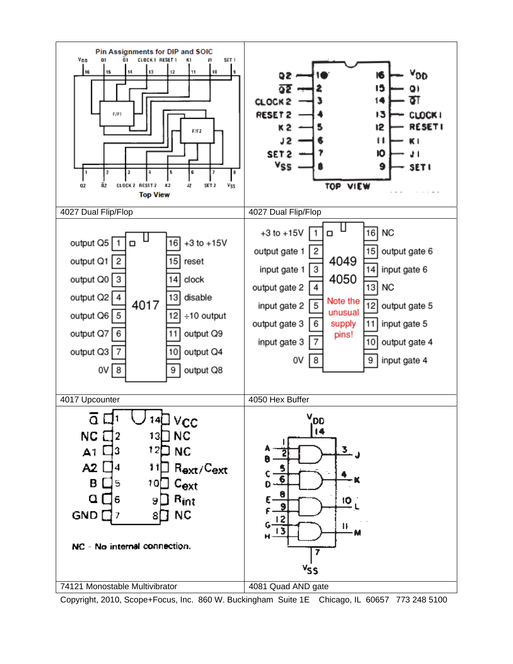